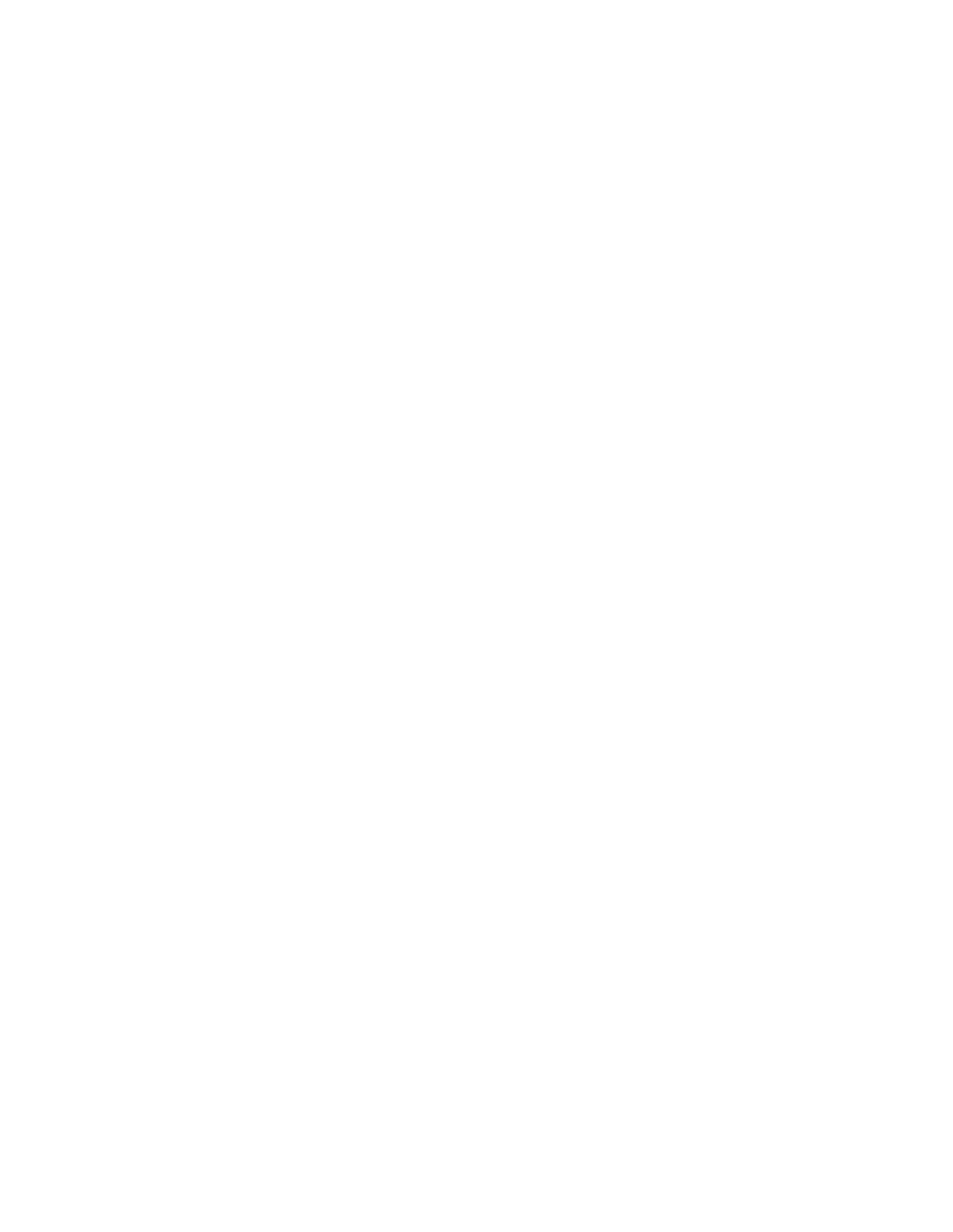## **AGENDA**

**Rogue Valley Metropolitan Planning Organization Public Advisory Council**



*Date: Tuesday, July 17, 2018*

*Time: 5:30 p.m.*

*Location: Jefferson Conference Room RVCOG, 155 N. 1st Street, Central Point Transit: served by RVTD Route #40*

*Contact: Stephanie Thune, RVCOG: 541-423-1368 RVMPO website: [www.rvmpo.org](http://www.rvmpo.org/)*

| 1                   | <b>Call to Order / Introductions / Review Agenda</b>                                                                                                                                                                        | <b>Mike Montero,</b><br><b>Chair</b> |  |
|---------------------|-----------------------------------------------------------------------------------------------------------------------------------------------------------------------------------------------------------------------------|--------------------------------------|--|
| $\overline{2}$      | <b>Review / Approve Minutes</b>                                                                                                                                                                                             | <b>Chair</b>                         |  |
| Attachment          | #1   RVMPO PAC Draft Minutes 180515                                                                                                                                                                                         |                                      |  |
| 3                   | <b>Public Comment</b><br><i>*Three minute limit for each speaker</i>                                                                                                                                                        | <b>Chair</b>                         |  |
| <b>Action Items</b> |                                                                                                                                                                                                                             |                                      |  |
| 4                   | <b>Public Participation Plan</b>                                                                                                                                                                                            | <b>Ryan MacLaren</b>                 |  |
| Background          | The RVMPO Public Involvement Plan was updated and adopted by the Policy<br>Committee in May 2014. Staff reviewed the current plan and made some<br>revisions. Proposed revisions to the attached plan are in track changes. |                                      |  |
| <b>Attachments</b>  | $#2$ Revised Public Participation Plan                                                                                                                                                                                      |                                      |  |
| Action<br>Requested | Review and discuss the draft revised plan and recommend approval of the revised<br>plan to the Policy Committee.                                                                                                            |                                      |  |